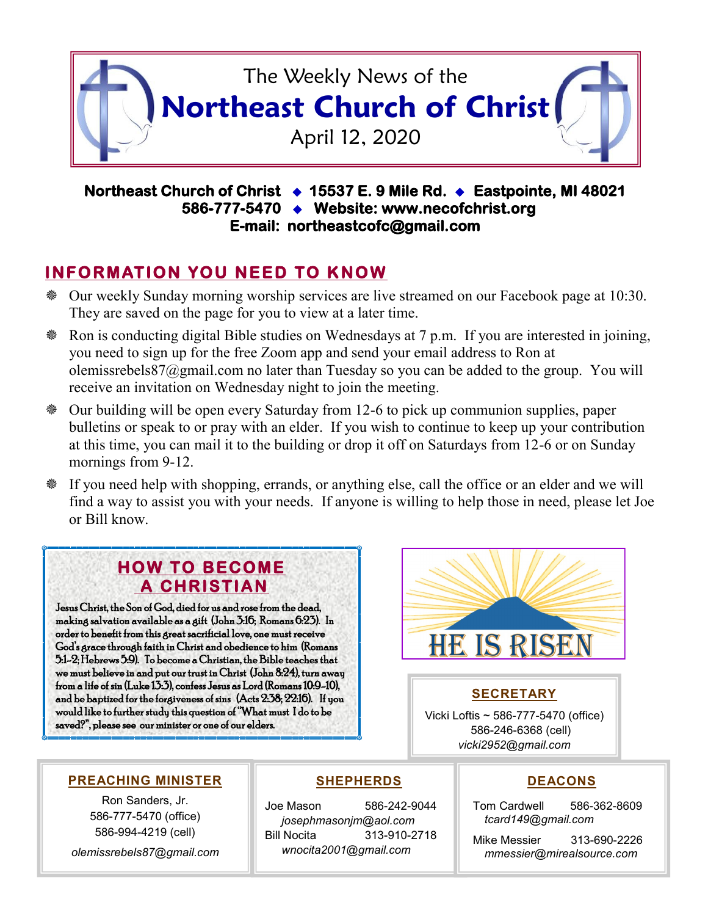

#### **Northeast Church of Christ 15537 E. 9 Mile Rd. Eastpointe, MI 48021 586-777-5470 Website: www.necofchrist.org E-mail: northeastcofc@gmail.com**

# **INFORMATION YOU NEED TO KNOW**

- Our weekly Sunday morning worship services are live streamed on our Facebook page at 10:30. They are saved on the page for you to view at a later time.
- Ron is conducting digital Bible studies on Wednesdays at 7 p.m. If you are interested in joining, you need to sign up for the free Zoom app and send your email address to Ron at olemissrebels87@gmail.com no later than Tuesday so you can be added to the group. You will receive an invitation on Wednesday night to join the meeting.
- Our building will be open every Saturday from 12-6 to pick up communion supplies, paper bulletins or speak to or pray with an elder. If you wish to continue to keep up your contribution at this time, you can mail it to the building or drop it off on Saturdays from 12-6 or on Sunday mornings from 9-12.
- If you need help with shopping, errands, or anything else, call the office or an elder and we will find a way to assist you with your needs. If anyone is willing to help those in need, please let Joe or Bill know.

## **HOW TO BECOME A CHRISTIAN**

Jesus Christ, the Son of God, died for us and rose from the dead, making salvation available as a gift (John 3:16; Romans 6:23). In order to benefit from this great sacrificial love, one must receive God's grace through faith in Christ and obedience to him (Romans 5:1-2; Hebrews 5:9). To become a Christian, the Bible teaches that we must believe in and put our trust in Christ (John 8:24), turn away from a life of sin (Luke 13:3), confess Jesus as Lord (Romans 10:9-10), and be baptized for the forgiveness of sins (Acts 2:38; 22:16). If you would like to further study this question of "What must I do to be saved?", please see our minister or one of our elders.



### **SECRETARY**

Vicki Loftis ~ 586-777-5470 (office) 586-246-6368 (cell) *vicki2952@gmail.com*

#### **PREACHING MINISTER**

Ron Sanders, Jr. 586-777-5470 (office) 586-994-4219 (cell)

*olemissrebels87@gmail.com*

### **SHEPHERDS**

Joe Mason 586-242-9044 *josephmasonjm@aol.com* Bill Nocita 313-910-2718 *wnocita2001@gmail.com*

#### **DEACONS**

Tom Cardwell 586-362-8609 *tcard149@gmail.com*

Mike Messier 313-690-2226 *mmessier@mirealsource.com*